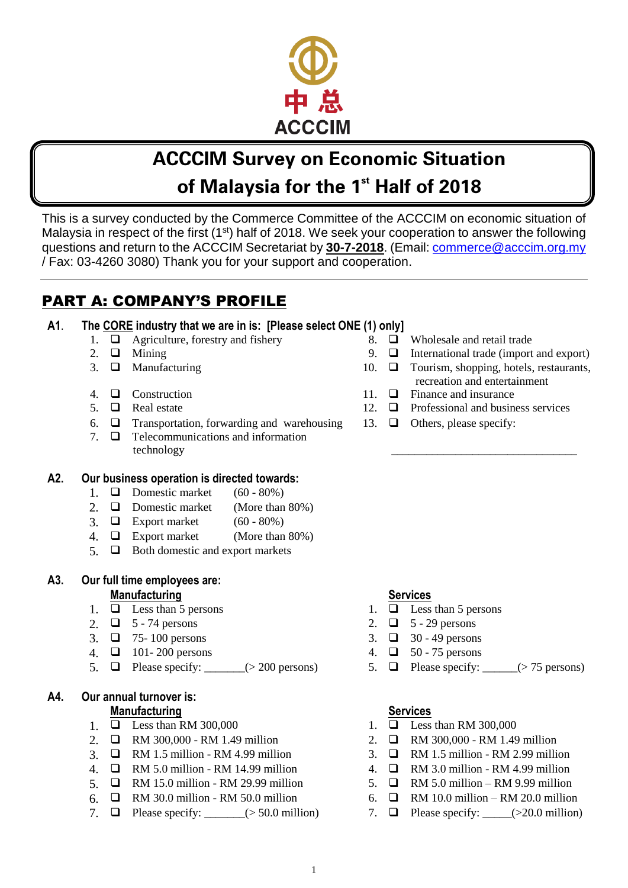

# ACCCIM Survey on Economic Situation of Malaysia for the 1st Half of 2018

This is a survey conducted by the Commerce Committee of the ACCCIM on economic situation of Malaysia in respect of the first  $(1<sup>st</sup>)$  half of 2018. We seek your cooperation to answer the following questions and return to the ACCCIM Secretariat by **30-7-2018**. (Email: [commerce@acccim.org.my](mailto:commerce@acccim.org.my) / Fax: 03-4260 3080) Thank you for your support and cooperation.

# PART A: COMPANY'S PROFILE

### **A1**. **The CORE industry that we are in is: [Please select ONE (1) only]**

- 1.  $\Box$  Agriculture, forestry and fishery 8.  $\Box$  Wholesale and retail trade
- 
- 
- 
- 
- 6.  $\Box$  Transportation, forwarding and warehousing 13.  $\Box$  Others, please specify:
- 7.  $\Box$  Telecommunications and information technology

### **A2. Our business operation is directed towards:**

- 1.  $\Box$  Domestic market (60 80%)
- 2.  $\Box$  Domestic market (More than 80%)
- 3.  $\Box$  Export market  $(60 80\%)$
- 4.  $\Box$  Export market (More than 80%)
- $5. \Box$  Both domestic and export markets

#### **A3. Our full time employees are: Manufacturing Services**

- 
- 
- 
- 4.  $\Box$  101-200 persons 4.  $\Box$  50-75 persons
- 5.  $\Box$  Please specify: \_\_\_\_\_\_(> 200 persons) 5.  $\Box$  Please specify: \_\_\_\_\_(> 75 persons)

#### **A4. Our annual turnover is: Manufacturing Services**

- 1.  $\Box$  Less than RM 300,000 1.  $\Box$  Less than RM 300,000
- 2. **Q** RM 300,000 RM 1.49 million 2. **Q** RM 300,000 RM 1.49 million
- 3.  $\Box$  RM 1.5 million RM 4.99 million  $\Box$  3.  $\Box$  RM 1.5 million RM 2.99 million
- 4 **D** RM 5.0 million RM 14.99 million 4. **D** RM 3.0 million RM 4.99 million
- 5  $\Box$  RM 15.0 million RM 29.99 million 5.  $\Box$  RM 5.0 million RM 9.99 million
- 6.  $\Box$  RM 30.0 million RM 50.0 million 6.  $\Box$  RM 10.0 million RM 20.0 million
- 7.  $\Box$  Please specify: \_\_\_\_\_\_(> 50.0 million) 7.  $\Box$  Please specify: \_\_\_\_(> 20.0 million)

- 2.  $\Box$  Mining  $\Box$  9.  $\Box$  International trade (import and export)
- 3.  $\Box$  Manufacturing  $\Box$  10.  $\Box$  Tourism, shopping, hotels, restaurants, recreation and entertainment

\_\_\_\_\_\_\_\_\_\_\_\_\_\_\_\_\_\_\_\_\_\_\_\_\_\_\_\_\_\_\_\_

- 4.  $\Box$  Construction 2.1.  $\Box$  Finance and insurance
- 5.  $\Box$  Real estate 12.  $\Box$  Professional and business services
	-

- 1.  $\Box$  Less than 5 persons 1.  $\Box$  Less than 5 persons
- 2.  $\Box$  5 74 persons 2.  $\Box$  5 29 persons
- 3.  $\Box$  75-100 persons 3.  $\Box$  30-49 persons
	-
	-

- 
- 
- 
- 
- 
- 
-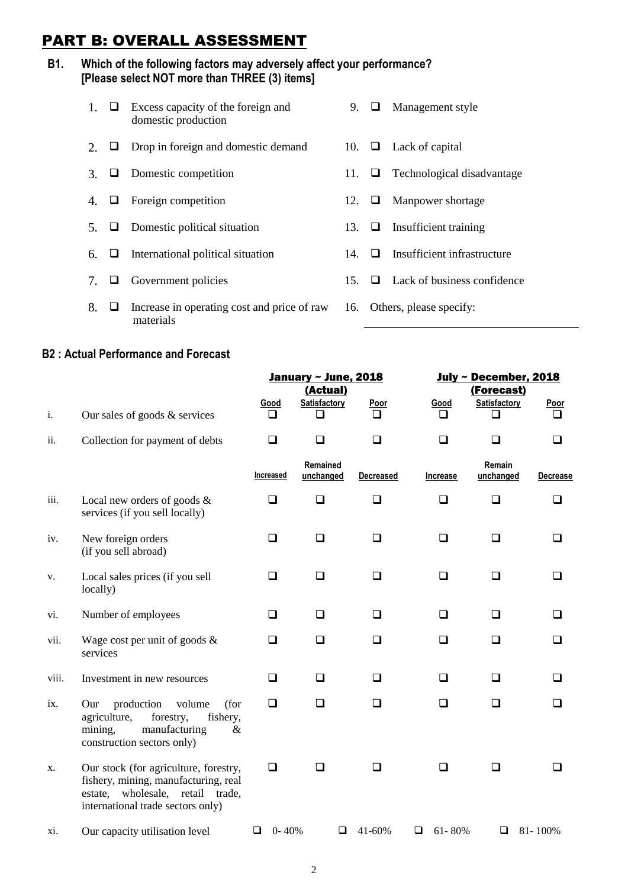# PART B: OVERALL ASSESSMENT

#### **B1. Which of the following factors may adversely affect your performance? [Please select NOT more than THREE (3) items]**

- 1.  $\Box$  Excess capacity of the foreign and domestic production 9.  $\Box$  Management style 2.  $\Box$  Drop in foreign and domestic demand 10.  $\Box$  Lack of capital 3.  $\Box$  Domestic competition 11.  $\Box$  Technological disadvantage 4.  $\Box$  Foreign competition 12.  $\Box$  Manpower shortage 5.  $\Box$  Domestic political situation 13.  $\Box$  Insufficient training 6.  $\Box$  International political situation 14.  $\Box$  Insufficient infrastructure 7.  $\Box$  Government policies 15.  $\Box$  Lack of business confidence
- 8.  $\Box$  Increase in operating cost and price of raw materials
- 
- 
- 
- 16. Others, please specify:

#### **B2 : Actual Performance and Forecast**

|                           |                                                                                                                                                        |                  | <b>January ~ June, 2018</b> |                  | July ~ December, 2018 |                     |                  |
|---------------------------|--------------------------------------------------------------------------------------------------------------------------------------------------------|------------------|-----------------------------|------------------|-----------------------|---------------------|------------------|
|                           |                                                                                                                                                        |                  | (Actual)                    |                  |                       | (Forecast)          |                  |
| i.                        | Our sales of goods $&$ services                                                                                                                        | <b>Good</b><br>ப | Satisfactory                | <b>Poor</b>      | Good<br>l 1           | Satisfactory        | <b>Poor</b><br>ப |
| ii.                       | Collection for payment of debts                                                                                                                        | ❏                | ❏                           | ❏                | ❏                     | ❏                   | ◻                |
|                           |                                                                                                                                                        | Increased        | Remained<br>unchanged       | <b>Decreased</b> | <b>Increase</b>       | Remain<br>unchanged | <b>Decrease</b>  |
| iii.                      | Local new orders of goods $\&$<br>services (if you sell locally)                                                                                       | ⊔                | ❏                           | ⊔                | ❏                     | ❏                   | ப                |
| iv.                       | New foreign orders<br>(if you sell abroad)                                                                                                             | ⊔                | ப                           | ⊔                | □                     | ◻                   |                  |
| v.                        | Local sales prices (if you sell<br>locally)                                                                                                            | ⊔                | ப                           | ⊔                | ப                     | □                   |                  |
| vi.                       | Number of employees                                                                                                                                    | ⊔                | ❏                           | ❏                | □                     | ⊔                   | ப                |
| vii.                      | Wage cost per unit of goods $\&$<br>services                                                                                                           | ப                | ❏                           | ⊔                | ❏                     | □                   | ப                |
| viii.                     | Investment in new resources                                                                                                                            | ப                | ❏                           | ⊔                | □                     | ப                   | ப                |
| $\mathbf{1} \mathbf{X}$ . | production<br>volume<br>(for<br>Our<br>agriculture,<br>forestry,<br>fishery,<br>manufacturing<br>mining,<br>&<br>construction sectors only)            | □                | ❏                           | ❏                | □                     | ❏                   | ப                |
| Х.                        | Our stock (for agriculture, forestry,<br>fishery, mining, manufacturing, real<br>estate, wholesale, retail trade,<br>international trade sectors only) | ❏                | ப                           | ப                | □                     | ப                   |                  |
| xi.                       | Our capacity utilisation level                                                                                                                         | $0 - 40%$<br>⊔   | ⊔                           | 41-60%           | 61-80%<br>⊔           | ⊔                   | 81-100%          |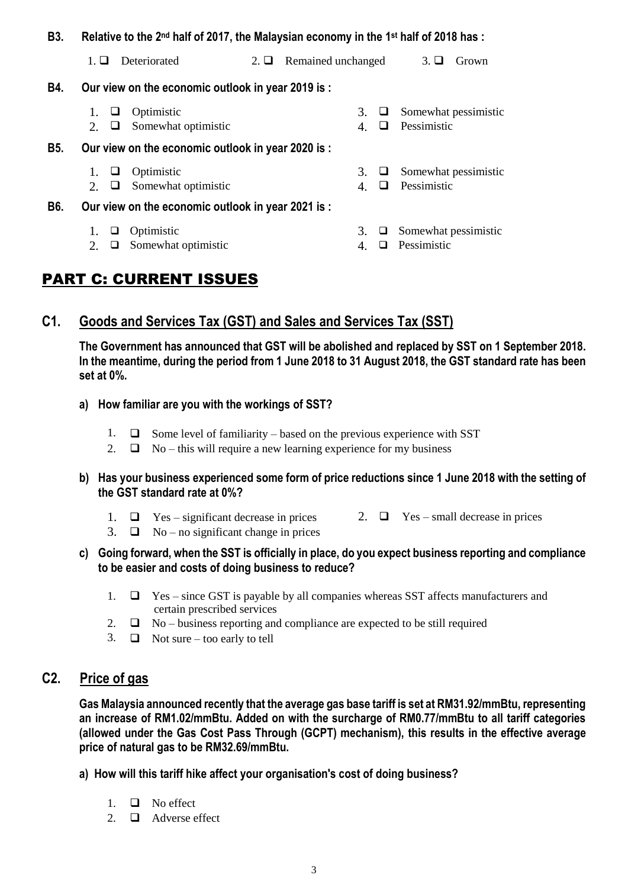#### **B3.** Relative to the 2<sup>nd</sup> half of 2017, the Malaysian economy in the 1<sup>st</sup> half of 2018 has :

|            | <b>Deteriorated</b><br>$1. \sqcup$                                                                                       | $2. \sqcup$ | Remained unchanged        | $3. \sqcup$<br>Grown                |  |  |  |  |  |
|------------|--------------------------------------------------------------------------------------------------------------------------|-------------|---------------------------|-------------------------------------|--|--|--|--|--|
| B4.        | Our view on the economic outlook in year 2019 is:                                                                        |             |                           |                                     |  |  |  |  |  |
|            | Optimistic<br>Somewhat optimistic<br>2.<br>⊔                                                                             |             | 3.<br>⊔<br>ப<br>4.        | Somewhat pessimistic<br>Pessimistic |  |  |  |  |  |
| <b>B5.</b> | Our view on the economic outlook in year 2020 is:                                                                        |             |                           |                                     |  |  |  |  |  |
| B6.        | Optimistic<br>$\mathbf{1}$ .<br>⊔<br>Somewhat optimistic<br>2.<br>⊔<br>Our view on the economic outlook in year 2021 is: |             | 3.<br>⊔<br>4.<br>$\sqcup$ | Somewhat pessimistic<br>Pessimistic |  |  |  |  |  |
|            | Optimistic<br>1.<br>⊔<br>Somewhat optimistic<br>2.<br>⊔                                                                  |             | $3. \Box$<br>◻<br>4.      | Somewhat pessimistic<br>Pessimistic |  |  |  |  |  |

# PART C: CURRENT ISSUES

### **C1. Goods and Services Tax (GST) and Sales and Services Tax (SST)**

**The Government has announced that GST will be abolished and replaced by SST on 1 September 2018. In the meantime, during the period from 1 June 2018 to 31 August 2018, the GST standard rate has been set at 0%.**

- **a) How familiar are you with the workings of SST?**
	- 1.  $\Box$  Some level of familiarity based on the previous experience with SST
	- 2.  $\Box$  No this will require a new learning experience for my business
- **b) Has your business experienced some form of price reductions since 1 June 2018 with the setting of the GST standard rate at 0%?**
	- 1.  $\Box$  Yes significant decrease in prices 2.  $\Box$  Yes small decrease in prices
		-
	- 3.  $\Box$  No no significant change in prices
- **c) Going forward, when the SST is officially in place, do you expect business reporting and compliance to be easier and costs of doing business to reduce?**
	- 1.  $\Box$  Yes since GST is payable by all companies whereas SST affects manufacturers and certain prescribed services
	- 2.  $\Box$  No business reporting and compliance are expected to be still required
	- 3.  $\Box$  Not sure too early to tell

# **C2. Price of gas**

**Gas Malaysia announced recently that the average gas base tariff is set at RM31.92/mmBtu, representing an increase of RM1.02/mmBtu. Added on with the surcharge of RM0.77/mmBtu to all tariff categories (allowed under the Gas Cost Pass Through (GCPT) mechanism), this results in the effective average price of natural gas to be RM32.69/mmBtu.**

**a) How will this tariff hike affect your organisation's cost of doing business?**

- $1 \square$  No effect
- 2.  $\Box$  Adverse effect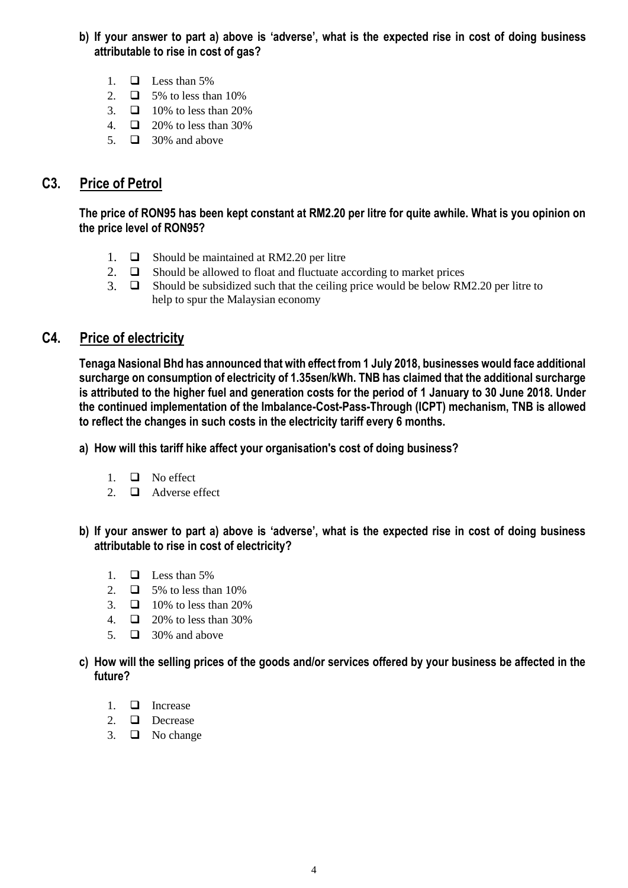- **b) If your answer to part a) above is 'adverse', what is the expected rise in cost of doing business attributable to rise in cost of gas?**
	- 1.  $\Box$  Less than 5%
	- 2.  $\Box$  5% to less than 10%
	- 3.  $\Box$  10% to less than 20%
	- 4.  $\Box$  20% to less than 30%
	- 5.  $\Box$  30% and above

# **C3. Price of Petrol**

**The price of RON95 has been kept constant at RM2.20 per litre for quite awhile. What is you opinion on the price level of RON95?**

- 1.  $\Box$  Should be maintained at RM2.20 per litre
- 2.  $\Box$  Should be allowed to float and fluctuate according to market prices
- 3.  $\Box$  Should be subsidized such that the ceiling price would be below RM2.20 per litre to help to spur the Malaysian economy

## **C4. Price of electricity**

**Tenaga Nasional Bhd has announced that with effect from 1 July 2018, businesses would face additional surcharge on consumption of electricity of 1.35sen/kWh. TNB has claimed that the additional surcharge is attributed to the higher fuel and generation costs for the period of 1 January to 30 June 2018. Under the continued implementation of the Imbalance-Cost-Pass-Through (ICPT) mechanism, TNB is allowed to reflect the changes in such costs in the electricity tariff every 6 months.**

**a) How will this tariff hike affect your organisation's cost of doing business?**

- 1.  $\Box$  No effect
- 2.  $\Box$  Adverse effect
- **b) If your answer to part a) above is 'adverse', what is the expected rise in cost of doing business attributable to rise in cost of electricity?**
	- 1.  $\Box$  Less than 5%
	- 2  $\Box$  5% to less than 10%
	- 3.  $\Box$  10% to less than 20%
	- 4.  $\Box$  20% to less than 30%
	- 5.  $\Box$  30% and above
- **c) How will the selling prices of the goods and/or services offered by your business be affected in the future?**
	- 1.  $\Box$  Increase
	- 2. Decrease
	- 3.  $\Box$  No change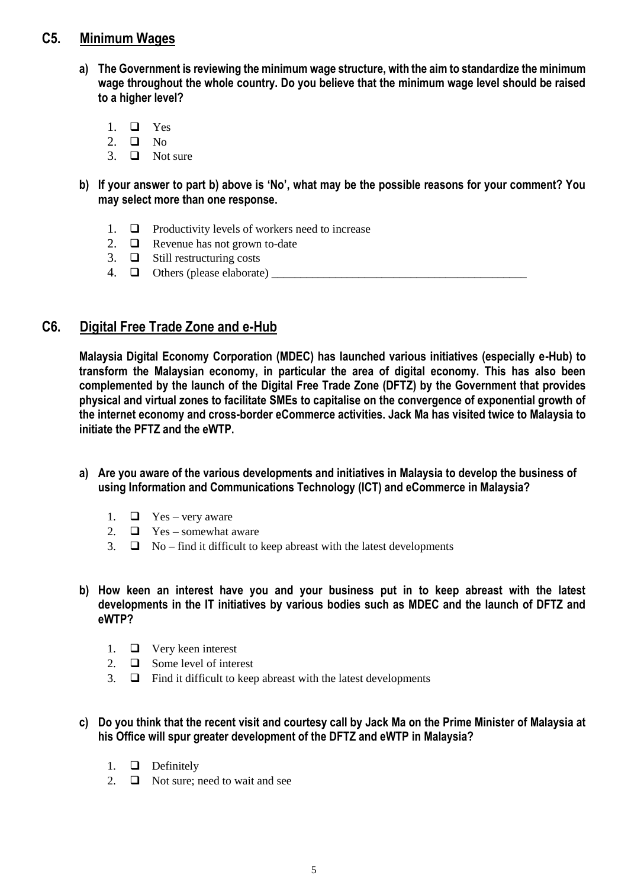### **C5. Minimum Wages**

- **a) The Government is reviewing the minimum wage structure, with the aim to standardize the minimum wage throughout the whole country. Do you believe that the minimum wage level should be raised to a higher level?**
	- 1.  $\Box$  Yes
	- 2.  $\Box$  No
	- 3.  $\Box$  Not sure
- **b) If your answer to part b) above is 'No', what may be the possible reasons for your comment? You may select more than one response.**
	- 1.  $\Box$  Productivity levels of workers need to increase
	- 2.  $\Box$  Revenue has not grown to-date
	- 3.  $\Box$  Still restructuring costs
	- 4. Others (please elaborate) \_\_\_\_\_\_\_\_\_\_\_\_\_\_\_\_\_\_\_\_\_\_\_\_\_\_\_\_\_\_\_\_\_\_\_\_\_\_\_\_\_\_\_\_

# **C6. Digital Free Trade Zone and e-Hub**

**Malaysia Digital Economy Corporation (MDEC) has launched various initiatives (especially e-Hub) to transform the Malaysian economy, in particular the area of digital economy. This has also been complemented by the launch of the Digital Free Trade Zone (DFTZ) by the Government that provides physical and virtual zones to facilitate SMEs to capitalise on the convergence of exponential growth of the internet economy and cross-border eCommerce activities. Jack Ma has visited twice to Malaysia to initiate the PFTZ and the eWTP.**

- **a) Are you aware of the various developments and initiatives in Malaysia to develop the business of using Information and Communications Technology (ICT) and eCommerce in Malaysia?** 
	- 1.  $\Box$  Yes very aware
	- 2.  $\Box$  Yes somewhat aware
	- 3.  $\Box$  No find it difficult to keep abreast with the latest developments
- **b) How keen an interest have you and your business put in to keep abreast with the latest developments in the IT initiatives by various bodies such as MDEC and the launch of DFTZ and eWTP?** 
	- 1.  $\Box$  Very keen interest
	- 2.  $\Box$  Some level of interest
	- 3.  $\Box$  Find it difficult to keep abreast with the latest developments
- **c) Do you think that the recent visit and courtesy call by Jack Ma on the Prime Minister of Malaysia at his Office will spur greater development of the DFTZ and eWTP in Malaysia?** 
	- 1.  $\Box$  Definitely
	- 2.  $\Box$  Not sure; need to wait and see